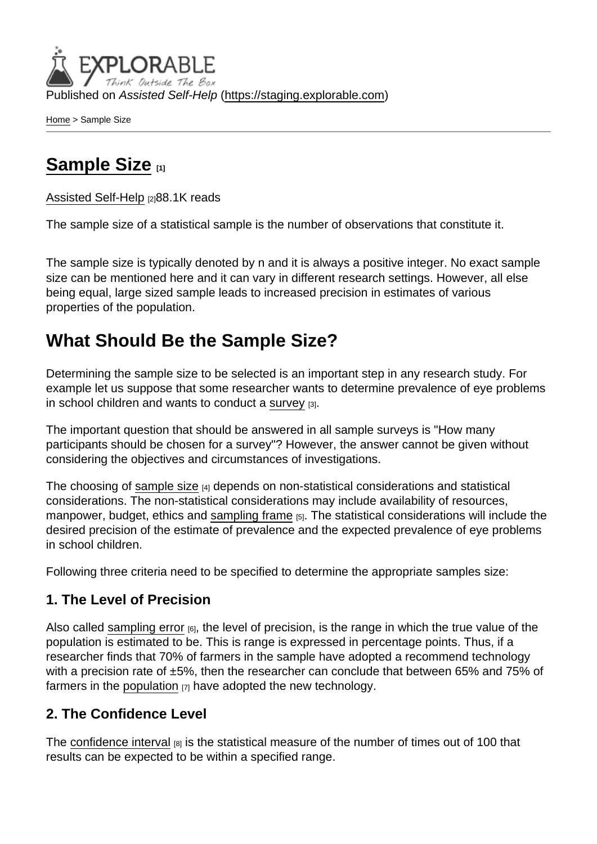Published on Assisted Self-Help [\(https://staging.explorable.com](https://staging.explorable.com))

[Home](https://staging.explorable.com/en) > Sample Size

# [Sample Size](https://staging.explorable.com/en/sample-size) [1]

[Assisted Self-Help](https://staging.explorable.com/en) [2]88.1K reads

The sample size of a statistical sample is the number of observations that constitute it.

The sample size is typically denoted by n and it is always a positive integer. No exact sample size can be mentioned here and it can vary in different research settings. However, all else being equal, large sized sample leads to increased precision in estimates of various properties of the population.

## What Should Be the Sample Size?

Determining the sample size to be selected is an important step in any research study. For example let us suppose that some researcher wants to determine prevalence of eye problems in school children and wants to conduct a [survey](https://staging.explorable.com/survey-research-design) [3].

The important question that should be answered in all sample surveys is "How many participants should be chosen for a survey"? However, the answer cannot be given without considering the objectives and circumstances of investigations.

The choosing of [sample size](http://en.wikipedia.org/wiki/Sample_size) [4] depends on non-statistical considerations and statistical considerations. The non-statistical considerations may include availability of resources, manpower, budget, ethics and [sampling frame](https://staging.explorable.com/population-sampling) [5]. The statistical considerations will include the desired precision of the estimate of prevalence and the expected prevalence of eye problems in school children.

Following three criteria need to be specified to determine the appropriate samples size:

#### 1. The Level of Precision

Also called [sampling error](https://staging.explorable.com/sampling-error)  $_{[6]}$ , the level of precision, is the range in which the true value of the population is estimated to be. This is range is expressed in percentage points. Thus, if a researcher finds that 70% of farmers in the sample have adopted a recommend technology with a precision rate of ±5%, then the researcher can conclude that between 65% and 75% of farmers in the [population](https://staging.explorable.com/research-population)  $[7]$  have adopted the new technology.

#### 2. The Confidence Level

The [confidence interval](https://staging.explorable.com/statistics-confidence-interval) [8] is the statistical measure of the number of times out of 100 that results can be expected to be within a specified range.